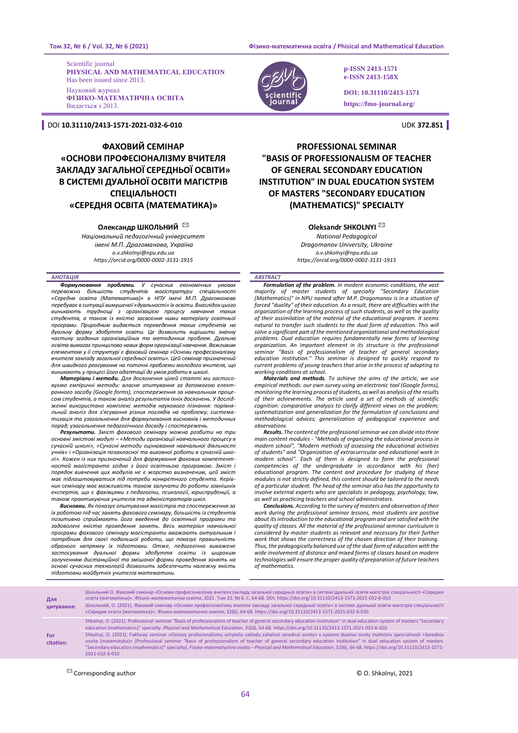**Том 32, № 6 / Vol. 32, № 6 (2021) Фізико-математична освіта / Phisical and Mathematical Education** 

Scientific journal **PHYSICAL AND MATHEMATICAL EDUCATION** Has been issued since 2013. Науковий журнал **ФІЗИКО-МАТЕМАТИЧНА ОСВІТА** Видається з 2013.

DOI **10.31110/2413-1571-2021-032-6-010** UDK **372.851**

# **ФАХОВИЙ СЕМІНАР «ОСНОВИ ПРОФЕСІОНАЛІЗМУ ВЧИТЕЛЯ ЗАКЛАДУ ЗАГАЛЬНОЇ СЕРЕДНЬОЇ ОСВІТИ» В СИСТЕМІ ДУАЛЬНОЇ ОСВІТИ МАГІСТРІВ СПЕЦІАЛЬНОСТІ «СЕРЕДНЯ ОСВІТА (МАТЕМАТИКА)»**

# **Олександр ШКОЛЬНИЙ** ✉

*Національний педагогічний університет імені М.П. Драгоманова, Україна o.v.shkolnyi@npu.edu.ua https://orcid.org/0000-0002-3131-1915*

*АНОТАЦІЯ* 

*Формулювання проблеми. У сучасних економічних умовах переважна більшість студентів магістратури спеціальності «Середня освіта (Математика)» в НПУ імені М.П. Драгоманова перебуває в ситуації вимушеної «дуальності» їх освіти. Внаслідок цього виникають труднощі з організацією процесу навчання таких студентів, а також із якістю засвоєння ними матеріалу освітньої програми. Природним видається переведення таких студентів на дуальну форму здобуття освіти. Це дозволить вирішити значну частину згаданих організаційних та методичних проблем. Дуальна освіта вимагає принципово нових форм організації навчання. Важливим елементом у її структурі є фаховий семінар «Основи професіоналізму вчителя закладу загальної середньої освіти». Цей семінар призначений для швидкого реагування на поточні проблеми молодого вчителя, що* 

*виникають у процесі його адаптації до умов роботи в школі. Матеріали і методи. Для досягнення цілей статті ми застосовуємо емпіричні методи: власне опитування за допомогою електронного засобу (Google forms), спостереження за навчальним процесом студентів, а також аналіз результатів їхніх досягнень. У дослідженні використано комплекс методів наукового пізнання: порівняльний аналіз для з'ясування різних поглядів на проблему; систематизація та узагальнення для формулювання висновків і методичних порад; узагальнення педагогічного досвіду і спостережень.* 

*Результати. Зміст фахового семінару можна розбити на три основні змістові модулі – «Методи організації навчального процесу в сучасній школі», «Сучасні методи оцінювання навчальної діяльності учнів» і «Організація позакласної та виховної роботи в сучасній школі». Кожен із них призначений для формування фахових компетентностей магістранта згідно з його освітньою програмою. Зміст і порядок вивчення цих модулів не є жорстко визначеним, цей зміст має підлаштовуватися під потреби конкретного студента. Керівник семінару має можливість також залучати до роботи зовнішніх експертів, що є фахівцями з педагогіки, психології, юриспруденції, а також практикуючих учителів та адміністраторів шкіл.* 

*Висновки. Як показує опитування магістрів та спостереження за їх роботою під час занять фахового семінару, більшість із студентів позитивно сприймають його введення до освітньої програми та задоволені якістю проведення занять. Весь матеріал навчальної програми фахового семінару магістранти вважають актуальним і потрібним для своєї подальшої роботи, що показує правильність обраного напрямку їх підготовки. Отже, педагогічно виважене застосування дуальної форми здобуття освіти із широким залученням дистанційної та змішаної форми проведення занять на основі сучасних технологій дозволить забезпечити належну якість підготовки майбутніх учителів математики.*



**p-ISSN 2413-1571 e-ISSN 2413-158X**

**DOI: 10.31110/2413-1571 https://fmo-journal.org/**

# **PROFESSIONAL SEMINAR "BASIS OF PROFESSIONALISM OF TEACHER OF GENERAL SECONDARY EDUCATION INSTITUTION" IN DUAL EDUCATION SYSTEM OF MASTERS "SECONDARY EDUCATION (MATHEMATICS)" SPECIALTY**

# **Oleksandr SHKOLNYI** ✉

*National Pedagogical Dragomanov University, Ukraine o.v.shkolnyi@npu.edu.ua https://orcid.org/0000-0002-3131-1915*

#### *ABSTRACT*

**Formulation of the problem.** In modern economic conditions, the vast<br>majority of master students of specialty "Secondary Education<br>(Mathematics)" in NPU named after M.P. Dragomanov is in a situation of *forced "duality" of their education. As a result, there are difficulties with the organization of the learning process of such students, as well as the quality of their assimilation of the material of the educational program. It seems natural to transfer such students to the dual form of education. This will solve a significant part of the mentioned organizational and methodological problems. Dual education requires fundamentally new forms of learning organization. An important element in its structure is the professional seminar "Basis of professionalism of teacher of general secondary education institution." This seminar is designed to quickly respond to current problems of young teachers that arise in the process of adapting to working conditions at school.*

*Materials and methods. To achieve the aims of the article, we use empirical methods: our own survey using an electronic tool (Google forms), monitoring the learning process of students, as well as analysis of the results of their achievements. The article used a set of methods of scientific cognition: comparative analysis to clarify different views on the problem; systematization and generalization for the formulation of conclusions and methodological advices; generalization of pedagogical experience and observations*

*Results. The content of the professional seminar we can divide into three main content modules - "Methods of organizing the educational process in modern school", "Modern methods of assessing the educational activities of students" and "Organization of extracurricular and educational work in modern school". Each of them is designed to form the professional competencies of the undergraduate in accordance with his (her) educational program. The content and procedure for studying of these modules is not strictly defined, this content should be tailored to the needs of a particular student. The head of the seminar also has the opportunity to involve external experts who are specialists in pedagogy, psychology, law, as well as practicing teachers and school administrators.*

*Conclusions. According to the survey of masters and observation of their work during the professional seminar lessons, most students are positive about its introduction to the educational program and are satisfied with the quality of classes. All the material of the professional seminar curriculum is considered by master students as relevant and necessary for their further work that shows the correctness of the chosen direction of their training. Thus, the pedagogically balanced use of the dual form of education with the wide involvement of distance and mixed forms of classes based on modern technologies will ensure the proper quality of preparation of future teachers of mathematics.*

| Для<br>цитування: | Школьний О. Фаховий семінар «Основи професіоналізму вчителя закладу загальної середньої освіти» в системі дуальної освіти магістрів спеціальності «Середня<br>освіта (математика)». Фізико-математична освіта, 2021. Том 32. № 6. С. 64-68. DOI: https://doi.org/10.31110/2413-1571-2021-032-6-010<br>Школьний, О. (2021). Фаховий семінар «Основи професіоналізму вчителя закладу загальної середньої освіти» в системі дуальної освіти магістрів спеціальності<br>«Середня освіта (математика)». Фізико-математична освіта, 32(6). 64-68. https://doi.org/10.31110/2413-1571-2021-032-6-010                                                                                                                                                                                                                                                             |
|-------------------|-----------------------------------------------------------------------------------------------------------------------------------------------------------------------------------------------------------------------------------------------------------------------------------------------------------------------------------------------------------------------------------------------------------------------------------------------------------------------------------------------------------------------------------------------------------------------------------------------------------------------------------------------------------------------------------------------------------------------------------------------------------------------------------------------------------------------------------------------------------|
| For<br>citation:  | Shkolnyi, O. (2021). Professional seminar "Basis of professionalism of teacher of general secondary education institution" in dual education system of masters "Secondary<br>education (mathematics)" specialty. Physical and Mathematical Education, 32(6), 64-68. https://doi.org/10.31110/2413-1571-2021-032-6-010<br>Shkolnyi, O. (2021). Fakhovyi seminar «Osnovy profesionalizmu vchytelia zakladu zahalnoi serednoi osvity» v systemi dualnoi osvity mahistriv spetsialnosti «Serednia<br>osvita (matematyka)» [Professional seminar "Basis of professionalism of teacher of general secondary education institution" in dual education system of masters<br>"Secondary education (mathematics)" specialty]. Fizyko-matematychna osvita - Physical and Mathematical Education, 32(6), 64-68. https://doi.org/10.31110/2413-1571-<br>2021-032-6-010 |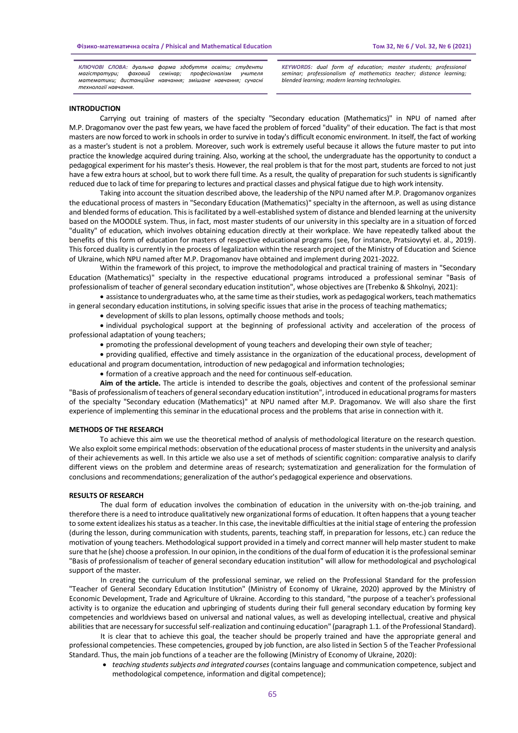*КЛЮЧОВІ СЛОВА: дуальна форма здобуття освіти; студенти магістратури; фаховий семінар; професіоналізм учителя математики; дистанційне навчання; змішане навчання; сучасні технології навчання.*

*KEYWORDS: dual form of education; master students; professional seminar; professionalism of mathematics teacher; distance learning; blended learning; modern learning technologies.*

## **INTRODUCTION**

Carrying out training of masters of the specialty "Secondary education (Mathematics)" in NPU of named after M.P. Dragomanov over the past few years, we have faced the problem of forced "duality" of their education. The fact is that most masters are now forced to work in schools in order to survive in today's difficult economic environment. In itself, the fact of working as a master's student is not a problem. Moreover, such work is extremely useful because it allows the future master to put into practice the knowledge acquired during training. Also, working at the school, the undergraduate has the opportunity to conduct a pedagogical experiment for his master's thesis. However, the real problem is that for the most part, students are forced to not just have a few extra hours at school, but to work there full time. As a result, the quality of preparation for such students is significantly reduced due to lack of time for preparing to lectures and practical classes and physical fatigue due to high work intensity.

Taking into account the situation described above, the leadership of the NPU named after M.P. Dragomanov organizes the educational process of masters in "Secondary Education (Mathematics)" specialty in the afternoon, as well as using distance and blended forms of education. This is facilitated by a well-established system of distance and blended learning at the university based on the MOODLE system. Thus, in fact, most master students of our university in this specialty are in a situation of forced "duality" of education, which involves obtaining education directly at their workplace. We have repeatedly talked about the benefits of this form of education for masters of respective educational programs (see, for instance, Pratsiovytyi et. al., 2019). This forced duality is currently in the process of legalization within the research project of the Ministry of Education and Science of Ukraine, which NPU named after M.P. Dragomanov have obtained and implement during 2021-2022.

Within the framework of this project, to improve the methodological and practical training of masters in "Secondary Education (Mathematics)" specialty in the respective educational programs introduced a professional seminar "Basis of professionalism of teacher of general secondary education institution", whose objectives are (Trebenko & Shkolnyi, 2021):

• assistance to undergraduates who, at the same time as their studies, work as pedagogical workers, teach mathematics in general secondary education institutions, in solving specific issues that arise in the process of teaching mathematics;

• development of skills to plan lessons, optimally choose methods and tools;

• individual psychological support at the beginning of professional activity and acceleration of the process of professional adaptation of young teachers;

• promoting the professional development of young teachers and developing their own style of teacher;

• providing qualified, effective and timely assistance in the organization of the educational process, development of educational and program documentation, introduction of new pedagogical and information technologies;

• formation of a creative approach and the need for continuous self-education.

**Aim of the article.** The article is intended to describe the goals, objectives and content of the professional seminar "Basis of professionalism of teachers of general secondary education institution", introduced in educational programs for masters of the specialty "Secondary education (Mathematics)" at NPU named after M.P. Dragomanov. We will also share the first experience of implementing this seminar in the educational process and the problems that arise in connection with it.

### **METHODS OF THE RESEARCH**

To achieve this aim we use the theoretical method of analysis of methodological literature on the research question. We also exploit some empirical methods: observation of the educational process of master students in the university and analysis of their achievements as well. In this article we also use a set of methods of scientific cognition: comparative analysis to clarify different views on the problem and determine areas of research; systematization and generalization for the formulation of conclusions and recommendations; generalization of the author's pedagogical experience and observations.

## **RESULTS OF RESEARCH**

The dual form of education involves the combination of education in the university with on-the-job training, and therefore there is a need to introduce qualitatively new organizational forms of education. It often happens that a young teacher to some extent idealizes his status as a teacher. In this case, the inevitable difficulties at the initial stage of entering the profession (during the lesson, during communication with students, parents, teaching staff, in preparation for lessons, etc.) can reduce the motivation of young teachers. Methodological support provided in a timely and correct manner will help master student to make sure that he (she) choose a profession. In our opinion, in the conditions of the dual form of education it is the professional seminar "Basis of professionalism of teacher of general secondary education institution" will allow for methodological and psychological support of the master.

In creating the curriculum of the professional seminar, we relied on the Professional Standard for the profession "Teacher of General Secondary Education Institution" (Ministry of Economy of Ukraine, 2020) approved by the Ministry of Economic Development, Trade and Agriculture of Ukraine. According to this standard, "the purpose of a teacher's professional activity is to organize the education and upbringing of students during their full general secondary education by forming key competencies and worldviews based on universal and national values, as well as developing intellectual, creative and physical abilities that are necessary for successful self-realization and continuing education" (paragraph 1.1. of the Professional Standard).

It is clear that to achieve this goal, the teacher should be properly trained and have the appropriate general and professional competencies. These competencies, grouped by job function, are also listed in Section 5 of the Teacher Professional Standard. Thus, the main job functions of a teacher are the following (Ministry of Economy of Ukraine, 2020):

• *teaching students subjects and integrated courses* (contains language and communication competence, subject and methodological competence, information and digital competence);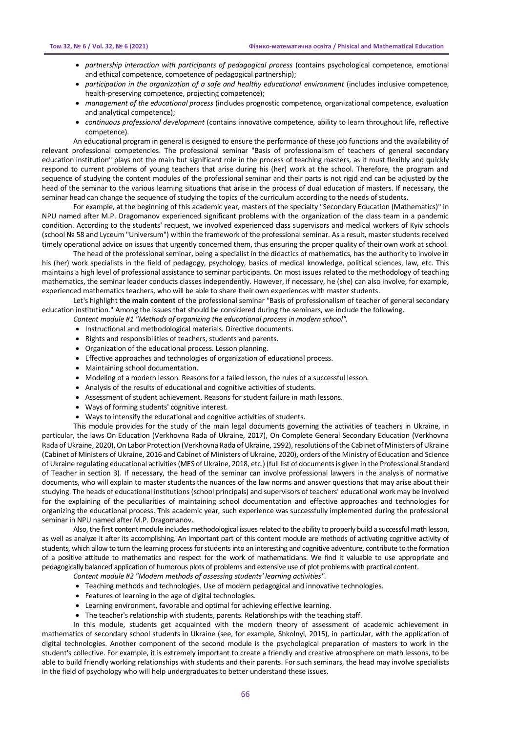- *partnership interaction with participants of pedagogical process* (contains psychological competence, emotional and ethical competence, competence of pedagogical partnership);
- *participation in the organization of a safe and healthy educational environment* (includes inclusive competence, health-preserving competence, projecting competence);
- *management of the educational process* (includes prognostic competence, organizational competence, evaluation and analytical competence);
- *continuous professional development* (contains innovative competence, ability to learn throughout life, reflective competence).

An educational program in general is designed to ensure the performance of these job functions and the availability of relevant professional competencies. The professional seminar "Basis of professionalism of teachers of general secondary education institution" plays not the main but significant role in the process of teaching masters, as it must flexibly and quickly respond to current problems of young teachers that arise during his (her) work at the school. Therefore, the program and sequence of studying the content modules of the professional seminar and their parts is not rigid and can be adjusted by the head of the seminar to the various learning situations that arise in the process of dual education of masters. If necessary, the seminar head can change the sequence of studying the topics of the curriculum according to the needs of students.

For example, at the beginning of this academic year, masters of the specialty "Secondary Education (Mathematics)" in NPU named after M.P. Dragomanov experienced significant problems with the organization of the class team in a pandemic condition. According to the students' request, we involved experienced class supervisors and medical workers of Kyiv schools (school № 58 and Lyceum "Universum") within the framework of the professional seminar. As a result, master students received timely operational advice on issues that urgently concerned them, thus ensuring the proper quality of their own work at school.

The head of the professional seminar, being a specialist in the didactics of mathematics, has the authority to involve in his (her) work specialists in the field of pedagogy, psychology, basics of medical knowledge, political sciences, law, etc. This maintains a high level of professional assistance to seminar participants. On most issues related to the methodology of teaching mathematics, the seminar leader conducts classes independently. However, if necessary, he (she) can also involve, for example, experienced mathematics teachers, who will be able to share their own experiences with master students.

Let's highlight **the main content** of the professional seminar "Basis of professionalism of teacher of general secondary education institution." Among the issues that should be considered during the seminars, we include the following.

- *Content module #1 "Methods of organizing the educational process in modern school".*
	- Instructional and methodological materials. Directive documents.
	- Rights and responsibilities of teachers, students and parents.
	- Organization of the educational process. Lesson planning.
	- Effective approaches and technologies of organization of educational process.
	- Maintaining school documentation.
	- Modeling of a modern lesson. Reasons for a failed lesson, the rules of a successful lesson.
	- Analysis of the results of educational and cognitive activities of students.
	- Assessment of student achievement. Reasons for student failure in math lessons.
	- Ways of forming students' cognitive interest.
	- Ways to intensify the educational and cognitive activities of students.

This module provides for the study of the main legal documents governing the activities of teachers in Ukraine, in particular, the laws On Education (Verkhovna Rada of Ukraine, 2017), On Complete General Secondary Education (Verkhovna Rada of Ukraine, 2020), On Labor Protection (Verkhovna Rada of Ukraine, 1992), resolutions of the Cabinet of Ministers of Ukraine (Cabinet of Ministers of Ukraine, 2016 and Cabinet of Ministers of Ukraine, 2020), orders of the Ministry of Education and Science of Ukraine regulating educational activities (MES of Ukraine, 2018, etc.) (full list of documents is given in the Professional Standard of Teacher in section 3). If necessary, the head of the seminar can involve professional lawyers in the analysis of normative documents, who will explain to master students the nuances of the law norms and answer questions that may arise about their studying. The heads of educational institutions (school principals) and supervisors of teachers' educational work may be involved for the explaining of the peculiarities of maintaining school documentation and effective approaches and technologies for organizing the educational process. This academic year, such experience was successfully implemented during the professional seminar in NPU named after M.P. Dragomanov.

Also, the first content module includes methodological issues related to the ability to properly build a successful math lesson, as well as analyze it after its accomplishing. An important part of this content module are methods of activating cognitive activity of students, which allow to turn the learning process for students into an interesting and cognitive adventure, contribute to the formation of a positive attitude to mathematics and respect for the work of mathematicians. We find it valuable to use appropriate and pedagogically balanced application of humorous plots of problems and extensive use of plot problems with practical content.

*Content module #2 "Modern methods of assessing students' learning activities".*

- Teaching methods and technologies. Use of modern pedagogical and innovative technologies.
- Features of learning in the age of digital technologies.
- Learning environment, favorable and optimal for achieving effective learning.
- The teacher's relationship with students, parents. Relationships with the teaching staff.

In this module, students get acquainted with the modern theory of assessment of academic achievement in mathematics of secondary school students in Ukraine (see, for example, Shkolnyi, 2015), in particular, with the application of digital technologies. Another component of the second module is the psychological preparation of masters to work in the student's collective. For example, it is extremely important to create a friendly and creative atmosphere on math lessons, to be able to build friendly working relationships with students and their parents. For such seminars, the head may involve specialists in the field of psychology who will help undergraduates to better understand these issues.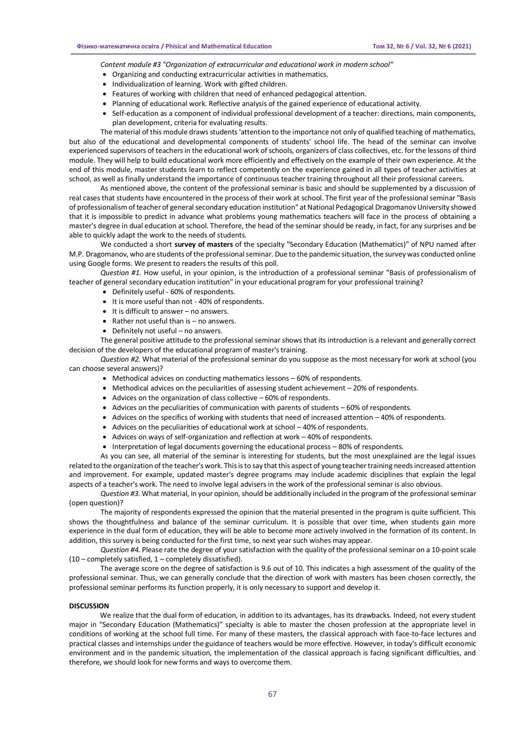*Content module #3 "Organization of extracurricular and educational work in modern school"*

- Organizing and conducting extracurricular activities in mathematics.
- Individualization of learning. Work with gifted children.
- Features of working with children that need of enhanced pedagogical attention.
- Planning of educational work. Reflective analysis of the gained experience of educational activity.
- Self-education as a component of individual professional development of a teacher: directions, main components, plan development, criteria for evaluating results.

The material of this module draws students 'attention to the importance not only of qualified teaching of mathematics, but also of the educational and developmental components of students' school life. The head of the seminar can involve experienced supervisors of teachers in the educational work of schools, organizers of class collectives, etc. for the lessons of third module. They will help to build educational work more efficiently and effectively on the example of their own experience. At the end of this module, master students learn to reflect competently on the experience gained in all types of teacher activities at school, as well as finally understand the importance of continuous teacher training throughout all their professional careers.

As mentioned above, the content of the professional seminar is basic and should be supplemented by a discussion of real cases that students have encountered in the process of their work at school. The first year of the professional seminar "Basis of professionalism of teacher of general secondary education institution" at National Pedagogical Dragomanov University showed that it is impossible to predict in advance what problems young mathematics teachers will face in the process of obtaining a master's degree in dual education at school. Therefore, the head of the seminar should be ready, in fact, for any surprises and be able to quickly adapt the work to the needs of students.

We conducted a short **survey of masters** of the specialty "Secondary Education (Mathematics)" of NPU named after M.P. Dragomanov, who are students of the professional seminar. Due to the pandemic situation, the survey was conducted online using Google forms. We present to readers the results of this poll.

*Question #1.* How useful, in your opinion, is the introduction of a professional seminar "Basis of professionalism of teacher of general secondary education institution" in your educational program for your professional training?

- Definitely useful 60% of respondents.
- It is more useful than not 40% of respondents.
- It is difficult to answer no answers.
- Rather not useful than is no answers.
- Definitely not useful no answers.

The general positive attitude to the professional seminar shows that its introduction is a relevant and generally correct decision of the developers of the educational program of master's training.

*Question #2.* What material of the professional seminar do you suppose as the most necessary for work at school (you can choose several answers)?

- Methodical advices on conducting mathematics lessons 60% of respondents.
- Methodical advices on the peculiarities of assessing student achievement 20% of respondents.
- Advices on the organization of class collective 60% of respondents.
- Advices on the peculiarities of communication with parents of students 60% of respondents.
- Advices on the specifics of working with students that need of increased attention 40% of respondents.
- Advices on the peculiarities of educational work at school 40% of respondents.
- Advices on ways of self-organization and reflection at work 40% of respondents.
- Interpretation of legal documents governing the educational process 80% of respondents.

As you can see, all material of the seminar is interesting for students, but the most unexplained are the legal issues related to the organization of the teacher's work. This is to say that this aspect of young teacher training needs increased attention and improvement. For example, updated master's degree programs may include academic disciplines that explain the legal aspects of a teacher's work. The need to involve legal advisers in the work of the professional seminar is also obvious.

*Question #3.* What material, in your opinion, should be additionally included in the program of the professional seminar (open question)?

The majority of respondents expressed the opinion that the material presented in the program is quite sufficient. This shows the thoughtfulness and balance of the seminar curriculum. It is possible that over time, when students gain more experience in the dual form of education, they will be able to become more actively involved in the formation of its content. In addition, this survey is being conducted for the first time, so next year such wishes may appear.

*Question #4.* Please rate the degree of your satisfaction with the quality of the professional seminar on a 10-point scale  $(10$  – completely satisfied,  $1$  – completely dissatisfied).

The average score on the degree of satisfaction is 9.6 out of 10. This indicates a high assessment of the quality of the professional seminar. Thus, we can generally conclude that the direction of work with masters has been chosen correctly, the professional seminar performs its function properly, it is only necessary to support and develop it.

# **DISCUSSION**

We realize that the dual form of education, in addition to its advantages, has its drawbacks. Indeed, not every student major in "Secondary Education (Mathematics)" specialty is able to master the chosen profession at the appropriate level in conditions of working at the school full time. For many of these masters, the classical approach with face-to-face lectures and practical classes and internships under the guidance of teachers would be more effective. However, in today's difficult economic environment and in the pandemic situation, the implementation of the classical approach is facing significant difficulties, and therefore, we should look for new forms and ways to overcome them.